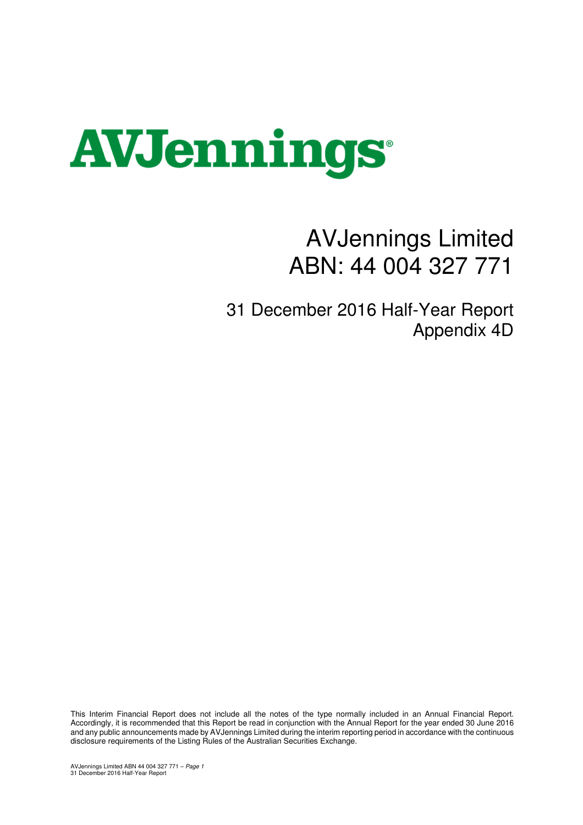

## AVJennings Limited ABN: 44 004 327 771

31 December 2016 Half-Year Report Appendix 4D

This Interim Financial Report does not include all the notes of the type normally included in an Annual Financial Report. Accordingly, it is recommended that this Report be read in conjunction with the Annual Report for the year ended 30 June 2016 and any public announcements made by AVJennings Limited during the interim reporting period in accordance with the continuous disclosure requirements of the Listing Rules of the Australian Securities Exchange.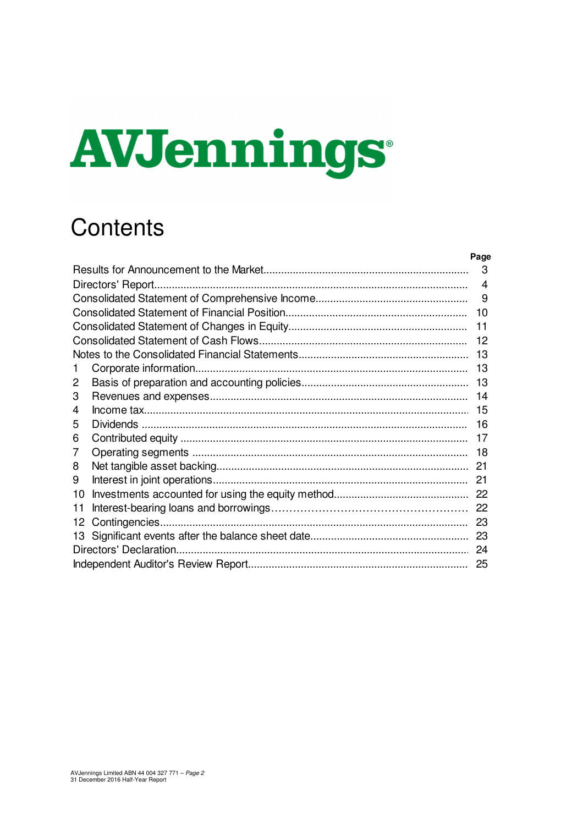# **AVJennings**

## **Contents**

|    | Page           |
|----|----------------|
|    | 3              |
|    | $\overline{4}$ |
|    | 9              |
|    | 10             |
|    | 11             |
|    | 12             |
|    | 13             |
| 1. | 13             |
| 2  | 13             |
| 3  | 14             |
| 4  | 15             |
| 5  | 16             |
| 6  | 17             |
| 7  | 18             |
| 8  | 21             |
| 9  | 21             |
| 10 |                |
| 11 |                |
| 12 | 23             |
| 13 | 23             |
|    |                |
|    | 25             |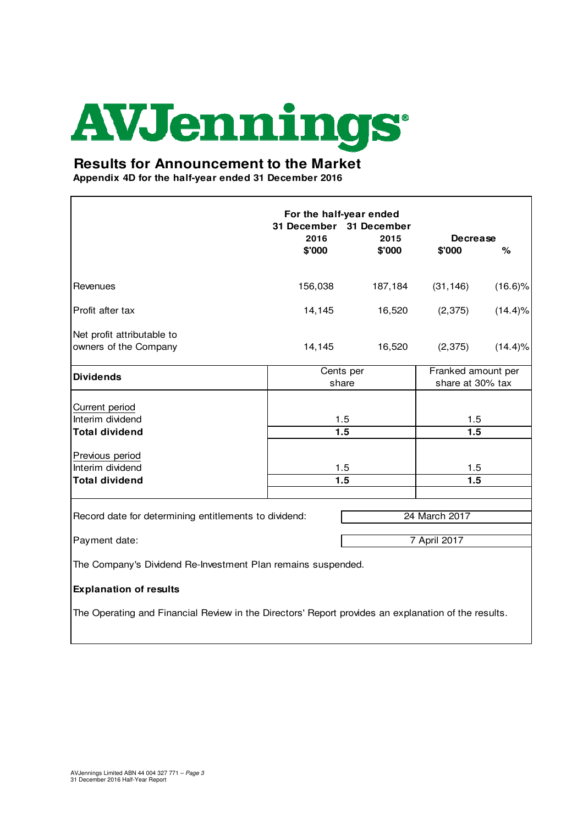## **AVJennings**

## **Results for Announcement to the Market**

**Appendix 4D for the half-year ended 31 December 2016**

|                                                                                                     | For the half-year ended<br>31 December 31 December<br>2016 | 2015    | <b>Decrease</b>                        |            |
|-----------------------------------------------------------------------------------------------------|------------------------------------------------------------|---------|----------------------------------------|------------|
|                                                                                                     | \$'000                                                     | \$'000  | \$'000                                 | $\%$       |
| Revenues                                                                                            | 156,038                                                    | 187,184 | (31, 146)                              | $(16.6)\%$ |
| Profit after tax                                                                                    | 14,145                                                     | 16,520  | (2, 375)                               | $(14.4)\%$ |
| Net profit attributable to<br>owners of the Company                                                 | 14,145                                                     | 16,520  | (2, 375)                               | $(14.4)\%$ |
| <b>Dividends</b>                                                                                    | Cents per<br>share                                         |         | Franked amount per<br>share at 30% tax |            |
| Current period<br>Interim dividend<br><b>Total dividend</b>                                         | 1.5<br>1.5                                                 |         | 1.5<br>1.5                             |            |
| Previous period<br>Interim dividend                                                                 | 1.5                                                        |         | 1.5                                    |            |
| <b>Total dividend</b>                                                                               | 1.5                                                        |         | 1.5                                    |            |
| Record date for determining entitlements to dividend:                                               |                                                            |         | 24 March 2017                          |            |
| 7 April 2017<br>Payment date:                                                                       |                                                            |         |                                        |            |
| The Company's Dividend Re-Investment Plan remains suspended.                                        |                                                            |         |                                        |            |
| <b>Explanation of results</b>                                                                       |                                                            |         |                                        |            |
| The Operating and Financial Review in the Directors' Report provides an explanation of the results. |                                                            |         |                                        |            |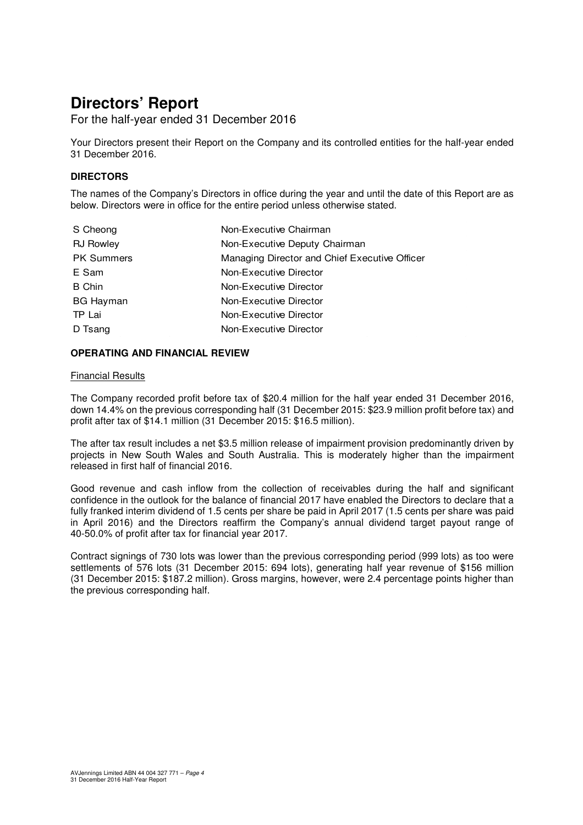For the half-year ended 31 December 2016

Your Directors present their Report on the Company and its controlled entities for the half-year ended 31 December 2016.

### **DIRECTORS**

The names of the Company's Directors in office during the year and until the date of this Report are as below. Directors were in office for the entire period unless otherwise stated.

| S Cheong          | Non-Executive Chairman                        |
|-------------------|-----------------------------------------------|
| <b>RJ Rowley</b>  | Non-Executive Deputy Chairman                 |
| <b>PK Summers</b> | Managing Director and Chief Executive Officer |
| E Sam             | Non-Executive Director                        |
| <b>B</b> Chin     | Non-Executive Director                        |
| <b>BG Hayman</b>  | Non-Executive Director                        |
| TP Lai            | Non-Executive Director                        |
| D Tsang           | Non-Executive Director                        |

#### **OPERATING AND FINANCIAL REVIEW**

#### Financial Results

The Company recorded profit before tax of \$20.4 million for the half year ended 31 December 2016, down 14.4% on the previous corresponding half (31 December 2015: \$23.9 million profit before tax) and profit after tax of \$14.1 million (31 December 2015: \$16.5 million).

The after tax result includes a net \$3.5 million release of impairment provision predominantly driven by projects in New South Wales and South Australia. This is moderately higher than the impairment released in first half of financial 2016.

Good revenue and cash inflow from the collection of receivables during the half and significant confidence in the outlook for the balance of financial 2017 have enabled the Directors to declare that a fully franked interim dividend of 1.5 cents per share be paid in April 2017 (1.5 cents per share was paid in April 2016) and the Directors reaffirm the Company's annual dividend target payout range of 40-50.0% of profit after tax for financial year 2017.

Contract signings of 730 lots was lower than the previous corresponding period (999 lots) as too were settlements of 576 lots (31 December 2015: 694 lots), generating half year revenue of \$156 million (31 December 2015: \$187.2 million). Gross margins, however, were 2.4 percentage points higher than the previous corresponding half.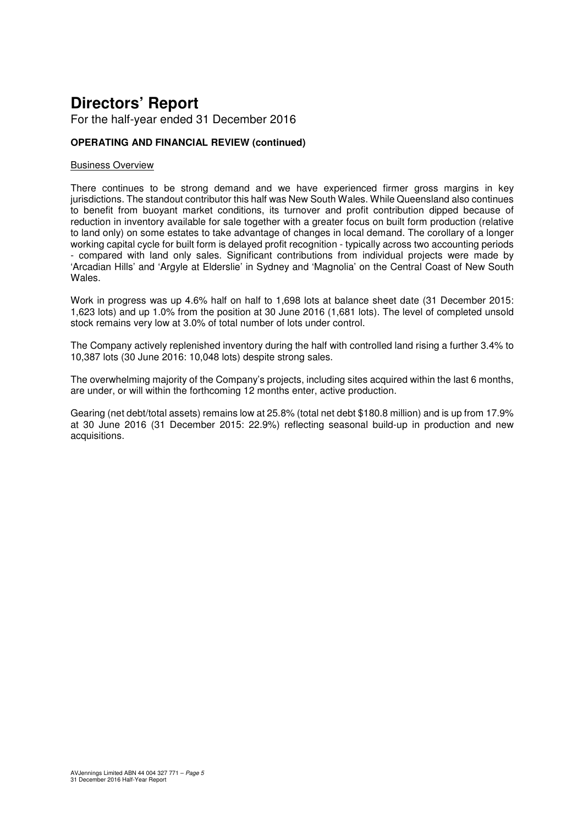For the half-year ended 31 December 2016

## **OPERATING AND FINANCIAL REVIEW (continued)**

#### Business Overview

There continues to be strong demand and we have experienced firmer gross margins in key jurisdictions. The standout contributor this half was New South Wales. While Queensland also continues to benefit from buoyant market conditions, its turnover and profit contribution dipped because of reduction in inventory available for sale together with a greater focus on built form production (relative to land only) on some estates to take advantage of changes in local demand. The corollary of a longer working capital cycle for built form is delayed profit recognition - typically across two accounting periods - compared with land only sales. Significant contributions from individual projects were made by 'Arcadian Hills' and 'Argyle at Elderslie' in Sydney and 'Magnolia' on the Central Coast of New South Wales.

Work in progress was up 4.6% half on half to 1,698 lots at balance sheet date (31 December 2015: 1,623 lots) and up 1.0% from the position at 30 June 2016 (1,681 lots). The level of completed unsold stock remains very low at 3.0% of total number of lots under control.

The Company actively replenished inventory during the half with controlled land rising a further 3.4% to 10,387 lots (30 June 2016: 10,048 lots) despite strong sales.

The overwhelming majority of the Company's projects, including sites acquired within the last 6 months, are under, or will within the forthcoming 12 months enter, active production.

Gearing (net debt/total assets) remains low at 25.8% (total net debt \$180.8 million) and is up from 17.9% at 30 June 2016 (31 December 2015: 22.9%) reflecting seasonal build-up in production and new acquisitions.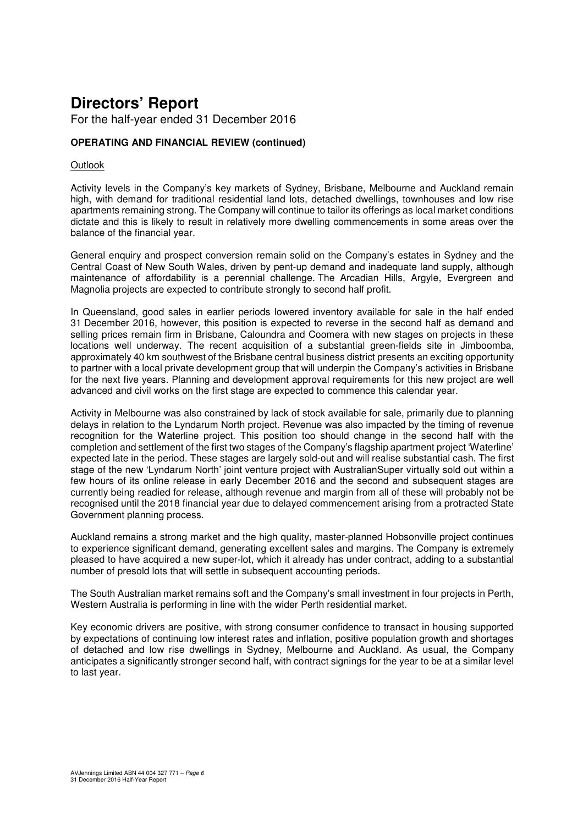For the half-year ended 31 December 2016

## **OPERATING AND FINANCIAL REVIEW (continued)**

#### **Outlook**

Activity levels in the Company's key markets of Sydney, Brisbane, Melbourne and Auckland remain high, with demand for traditional residential land lots, detached dwellings, townhouses and low rise apartments remaining strong. The Company will continue to tailor its offerings as local market conditions dictate and this is likely to result in relatively more dwelling commencements in some areas over the balance of the financial year.

General enquiry and prospect conversion remain solid on the Company's estates in Sydney and the Central Coast of New South Wales, driven by pent-up demand and inadequate land supply, although maintenance of affordability is a perennial challenge. The Arcadian Hills, Argyle, Evergreen and Magnolia projects are expected to contribute strongly to second half profit.

In Queensland, good sales in earlier periods lowered inventory available for sale in the half ended 31 December 2016, however, this position is expected to reverse in the second half as demand and selling prices remain firm in Brisbane, Caloundra and Coomera with new stages on projects in these locations well underway. The recent acquisition of a substantial green-fields site in Jimboomba, approximately 40 km southwest of the Brisbane central business district presents an exciting opportunity to partner with a local private development group that will underpin the Company's activities in Brisbane for the next five years. Planning and development approval requirements for this new project are well advanced and civil works on the first stage are expected to commence this calendar year.

Activity in Melbourne was also constrained by lack of stock available for sale, primarily due to planning delays in relation to the Lyndarum North project. Revenue was also impacted by the timing of revenue recognition for the Waterline project. This position too should change in the second half with the completion and settlement of the first two stages of the Company's flagship apartment project 'Waterline' expected late in the period. These stages are largely sold-out and will realise substantial cash. The first stage of the new 'Lyndarum North' joint venture project with AustralianSuper virtually sold out within a few hours of its online release in early December 2016 and the second and subsequent stages are currently being readied for release, although revenue and margin from all of these will probably not be recognised until the 2018 financial year due to delayed commencement arising from a protracted State Government planning process.

Auckland remains a strong market and the high quality, master-planned Hobsonville project continues to experience significant demand, generating excellent sales and margins. The Company is extremely pleased to have acquired a new super-lot, which it already has under contract, adding to a substantial number of presold lots that will settle in subsequent accounting periods.

The South Australian market remains soft and the Company's small investment in four projects in Perth, Western Australia is performing in line with the wider Perth residential market.

Key economic drivers are positive, with strong consumer confidence to transact in housing supported by expectations of continuing low interest rates and inflation, positive population growth and shortages of detached and low rise dwellings in Sydney, Melbourne and Auckland. As usual, the Company anticipates a significantly stronger second half, with contract signings for the year to be at a similar level to last year.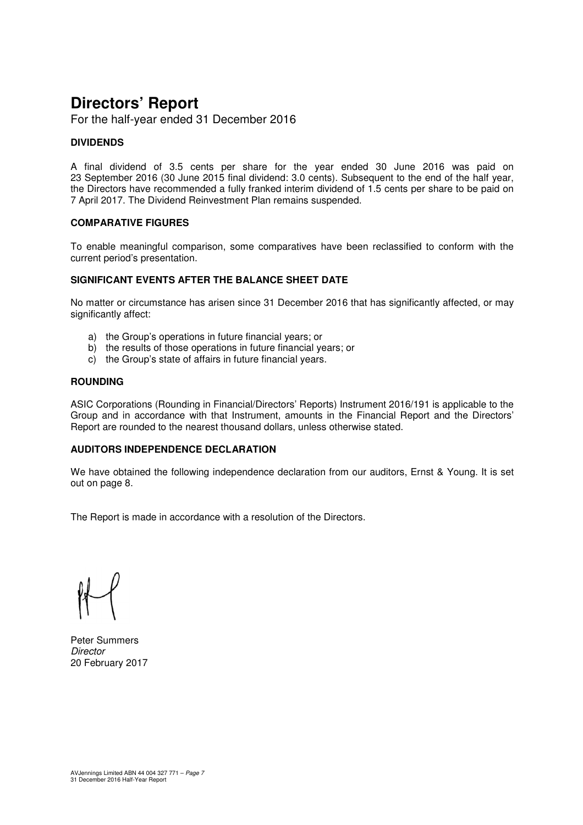For the half-year ended 31 December 2016

#### **DIVIDENDS**

A final dividend of 3.5 cents per share for the year ended 30 June 2016 was paid on 23 September 2016 (30 June 2015 final dividend: 3.0 cents). Subsequent to the end of the half year, the Directors have recommended a fully franked interim dividend of 1.5 cents per share to be paid on 7 April 2017. The Dividend Reinvestment Plan remains suspended.

#### **COMPARATIVE FIGURES**

To enable meaningful comparison, some comparatives have been reclassified to conform with the current period's presentation.

#### **SIGNIFICANT EVENTS AFTER THE BALANCE SHEET DATE**

No matter or circumstance has arisen since 31 December 2016 that has significantly affected, or may significantly affect:

- a) the Group's operations in future financial years; or
- b) the results of those operations in future financial years; or
- c) the Group's state of affairs in future financial years.

### **ROUNDING**

ASIC Corporations (Rounding in Financial/Directors' Reports) Instrument 2016/191 is applicable to the Group and in accordance with that Instrument, amounts in the Financial Report and the Directors' Report are rounded to the nearest thousand dollars, unless otherwise stated.

#### **AUDITORS INDEPENDENCE DECLARATION**

We have obtained the following independence declaration from our auditors, Ernst & Young. It is set out on page 8.

The Report is made in accordance with a resolution of the Directors.

Peter Summers **Director** 20 February 2017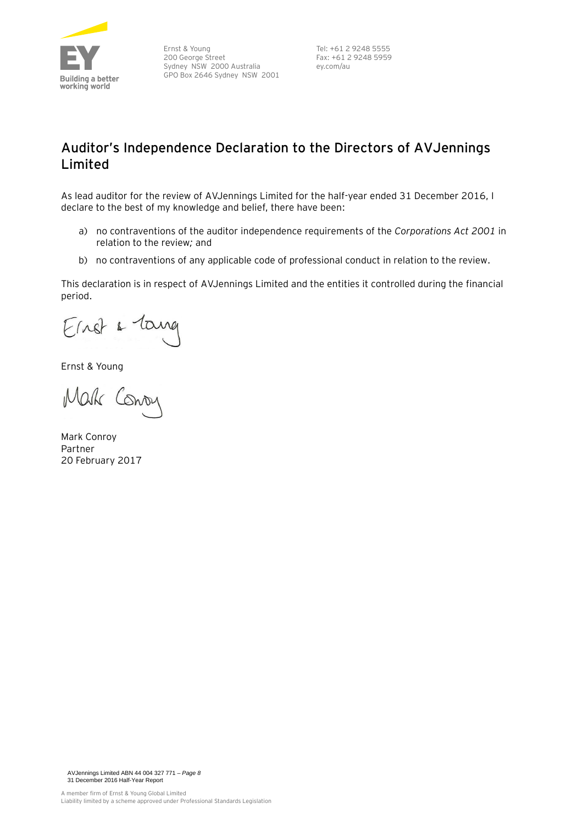

Ernst & Young 200 George Street Sydney NSW 2000 Australia GPO Box 2646 Sydney NSW 2001

Tel: +61 2 9248 5555 Fax: +61 2 9248 5959 ey.com/au

## **Auditor's Independence Declaration to the Directors of AVJennings Limited**

As lead auditor for the review of AVJennings Limited for the half-year ended 31 December 2016, I declare to the best of my knowledge and belief, there have been:

- a) no contraventions of the auditor independence requirements of the *Corporations Act 2001* in relation to the review*;* and
- b) no contraventions of any applicable code of professional conduct in relation to the review.

This declaration is in respect of AVJennings Limited and the entities it controlled during the financial period.

Einst & Lang

Ernst & Young

Mak Cono

Mark Conroy Partner 20 February 2017

AVJennings Limited ABN 44 004 327 771 – *Page 8* 31 December 2016 Half-Year Report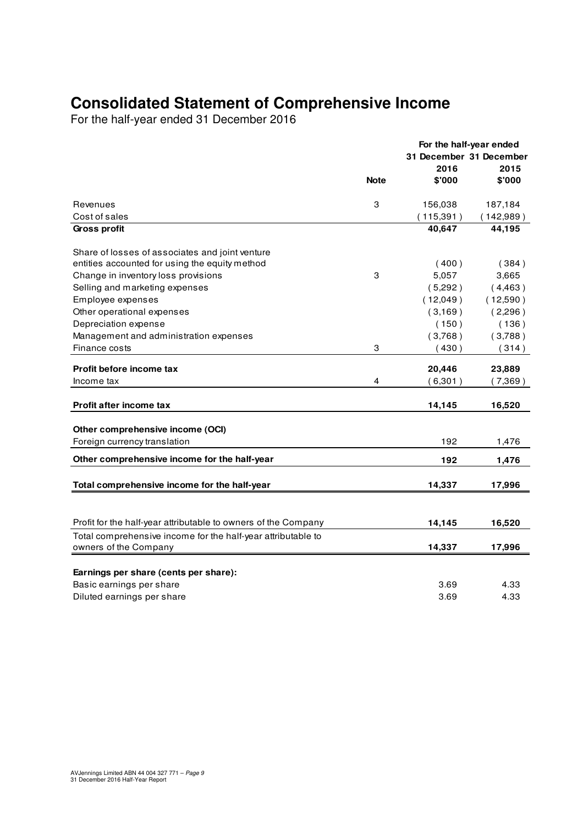## **Consolidated Statement of Comprehensive Income**

For the half-year ended 31 December 2016

|                                                                |             | For the half-year ended |           |
|----------------------------------------------------------------|-------------|-------------------------|-----------|
|                                                                |             | 31 December 31 December |           |
|                                                                |             | 2016                    | 2015      |
|                                                                | <b>Note</b> | \$'000                  | \$'000    |
| Revenues                                                       | 3           | 156,038                 | 187,184   |
| Cost of sales                                                  |             | (115, 391)              | (142,989) |
| <b>Gross profit</b>                                            |             | 40,647                  | 44,195    |
| Share of losses of associates and joint venture                |             |                         |           |
| entities accounted for using the equity method                 |             | (400)                   | (384)     |
| Change in inventory loss provisions                            | З           | 5,057                   | 3,665     |
| Selling and marketing expenses                                 |             | (5,292)                 | (4,463)   |
| Employee expenses                                              |             | (12,049)                | (12,590)  |
| Other operational expenses                                     |             | (3,169)                 | (2,296)   |
| Depreciation expense                                           |             | (150)                   | (136)     |
| Management and administration expenses                         |             | (3,768)                 | (3,788)   |
| Finance costs                                                  | 3           | (430)                   | (314)     |
|                                                                |             |                         |           |
| Profit before income tax                                       |             | 20,446                  | 23,889    |
| Income tax                                                     | 4           | (6,301)                 | (7,369)   |
| Profit after income tax                                        |             | 14,145                  | 16,520    |
|                                                                |             |                         |           |
| Other comprehensive income (OCI)                               |             |                         |           |
| Foreign currency translation                                   |             | 192                     | 1,476     |
| Other comprehensive income for the half-year                   |             | 192                     | 1,476     |
| Total comprehensive income for the half-year                   |             | 14,337                  | 17,996    |
|                                                                |             |                         |           |
| Profit for the half-year attributable to owners of the Company |             | 14,145                  | 16,520    |
| Total comprehensive income for the half-year attributable to   |             |                         |           |
| owners of the Company                                          |             | 14,337                  | 17,996    |
| Earnings per share (cents per share):                          |             |                         |           |
| Basic earnings per share                                       |             | 3.69                    | 4.33      |
| Diluted earnings per share                                     |             | 3.69                    | 4.33      |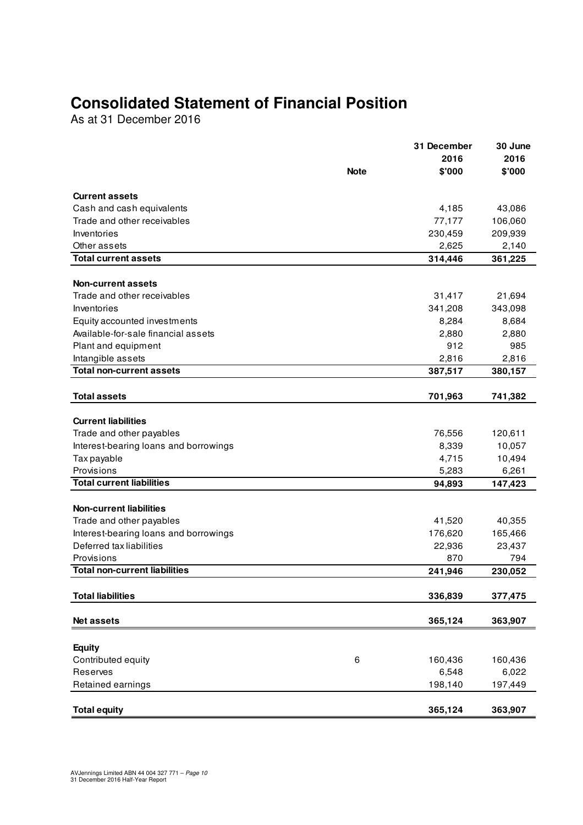## **Consolidated Statement of Financial Position**

As at 31 December 2016

|                                       |             | 31 December | 30 June |
|---------------------------------------|-------------|-------------|---------|
|                                       |             | 2016        | 2016    |
|                                       | <b>Note</b> | \$'000      | \$'000  |
| <b>Current assets</b>                 |             |             |         |
| Cash and cash equivalents             |             | 4,185       | 43,086  |
| Trade and other receivables           |             | 77,177      | 106,060 |
| Inventories                           |             | 230,459     | 209,939 |
| Other assets                          |             | 2,625       | 2,140   |
| <b>Total current assets</b>           |             | 314,446     | 361,225 |
|                                       |             |             |         |
| <b>Non-current assets</b>             |             |             |         |
| Trade and other receivables           |             | 31,417      | 21,694  |
| Inventories                           |             | 341,208     | 343,098 |
| Equity accounted investments          |             | 8,284       | 8,684   |
| Available-for-sale financial assets   |             | 2,880       | 2,880   |
| Plant and equipment                   |             | 912         | 985     |
| Intangible assets                     |             | 2,816       | 2,816   |
| <b>Total non-current assets</b>       |             | 387,517     | 380,157 |
|                                       |             |             |         |
| <b>Total assets</b>                   |             | 701,963     | 741,382 |
| <b>Current liabilities</b>            |             |             |         |
| Trade and other payables              |             | 76,556      | 120,611 |
| Interest-bearing loans and borrowings |             | 8,339       | 10,057  |
| Tax payable                           |             | 4,715       | 10,494  |
| Provisions                            |             | 5,283       | 6,261   |
| <b>Total current liabilities</b>      |             | 94,893      | 147,423 |
|                                       |             |             |         |
| <b>Non-current liabilities</b>        |             |             |         |
| Trade and other payables              |             | 41,520      | 40,355  |
| Interest-bearing loans and borrowings |             | 176,620     | 165,466 |
| Deferred tax liabilities              |             | 22,936      | 23,437  |
| Provisions                            |             | 870         | 794     |
| <b>Total non-current liabilities</b>  |             | 241,946     | 230,052 |
|                                       |             |             |         |
| <b>Total liabilities</b>              |             | 336,839     | 377,475 |
| Net assets                            |             | 365,124     | 363,907 |
|                                       |             |             |         |
| <b>Equity</b>                         |             |             |         |
| Contributed equity                    | 6           | 160,436     | 160,436 |
| Reserves                              |             | 6,548       | 6,022   |
| Retained earnings                     |             | 198,140     | 197,449 |
|                                       |             |             |         |
| <b>Total equity</b>                   |             | 365,124     | 363,907 |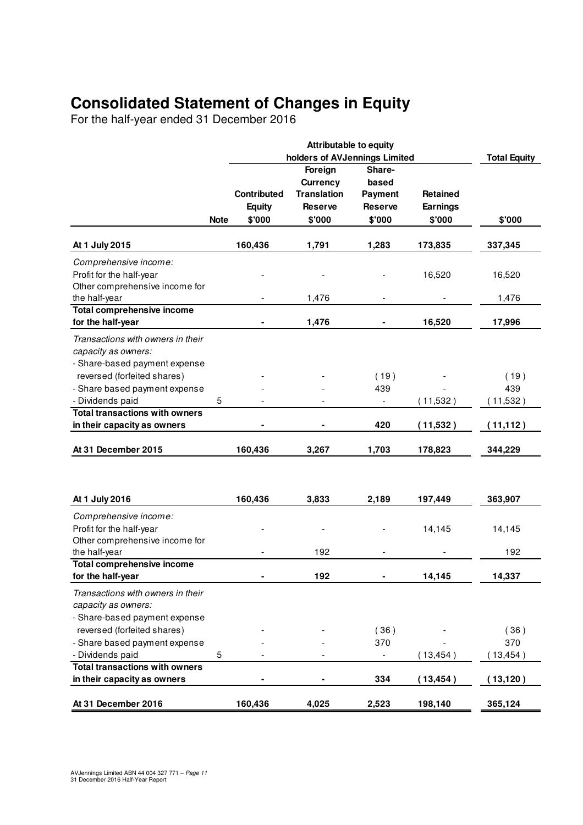## **Consolidated Statement of Changes in Equity**

For the half-year ended 31 December 2016

|                                                                                                      |             | <b>Attributable to equity</b><br>holders of AVJennings Limited |                                                                              |                                                               |                                              | <b>Total Equity</b>     |  |
|------------------------------------------------------------------------------------------------------|-------------|----------------------------------------------------------------|------------------------------------------------------------------------------|---------------------------------------------------------------|----------------------------------------------|-------------------------|--|
|                                                                                                      | <b>Note</b> | Contributed<br><b>Equity</b><br>\$'000                         | Foreign<br><b>Currency</b><br><b>Translation</b><br><b>Reserve</b><br>\$'000 | Share-<br>based<br><b>Payment</b><br><b>Reserve</b><br>\$'000 | <b>Retained</b><br><b>Earnings</b><br>\$'000 | \$'000                  |  |
| At 1 July 2015                                                                                       |             | 160,436                                                        | 1,791                                                                        | 1,283                                                         | 173,835                                      | 337,345                 |  |
| Comprehensive income:<br>Profit for the half-year<br>Other comprehensive income for<br>the half-year |             |                                                                | 1,476                                                                        |                                                               | 16,520                                       | 16,520<br>1,476         |  |
| <b>Total comprehensive income</b><br>for the half-year                                               |             |                                                                | 1,476                                                                        |                                                               | 16,520                                       | 17,996                  |  |
| Transactions with owners in their<br>capacity as owners:<br>- Share-based payment expense            |             |                                                                |                                                                              |                                                               |                                              |                         |  |
| reversed (forfeited shares)<br>- Share based payment expense<br>- Dividends paid                     | 5           |                                                                |                                                                              | (19)<br>439                                                   | (11,532)                                     | (19)<br>439<br>(11,532) |  |
| <b>Total transactions with owners</b><br>in their capacity as owners                                 |             |                                                                |                                                                              | 420                                                           | (11,532)                                     | (11, 112)               |  |
| At 31 December 2015                                                                                  |             | 160,436                                                        | 3,267                                                                        | 1,703                                                         | 178,823                                      | 344,229                 |  |
|                                                                                                      |             |                                                                |                                                                              |                                                               |                                              |                         |  |
| At 1 July 2016                                                                                       |             | 160,436                                                        | 3,833                                                                        | 2,189                                                         | 197,449                                      | 363,907                 |  |
| Comprehensive income:<br>Profit for the half-year<br>Other comprehensive income for                  |             |                                                                |                                                                              |                                                               | 14,145                                       | 14,145                  |  |
| the half-year                                                                                        |             |                                                                | 192                                                                          |                                                               |                                              | 192                     |  |
| <b>Total comprehensive income</b><br>for the half-year                                               |             |                                                                | 192                                                                          |                                                               | 14,145                                       | 14,337                  |  |
| Transactions with owners in their<br>capacity as owners:<br>- Share-based payment expense            |             |                                                                |                                                                              |                                                               |                                              |                         |  |
| reversed (forfeited shares)<br>- Share based payment expense                                         |             |                                                                |                                                                              | (36)<br>370                                                   |                                              | (36)<br>370             |  |
| - Dividends paid                                                                                     | 5           |                                                                |                                                                              |                                                               | (13, 454)                                    | (13, 454)               |  |
| <b>Total transactions with owners</b><br>in their capacity as owners                                 |             |                                                                |                                                                              | 334                                                           | (13, 454)                                    | (13, 120)               |  |
| At 31 December 2016                                                                                  |             | 160,436                                                        | 4,025                                                                        | 2,523                                                         | 198,140                                      | 365,124                 |  |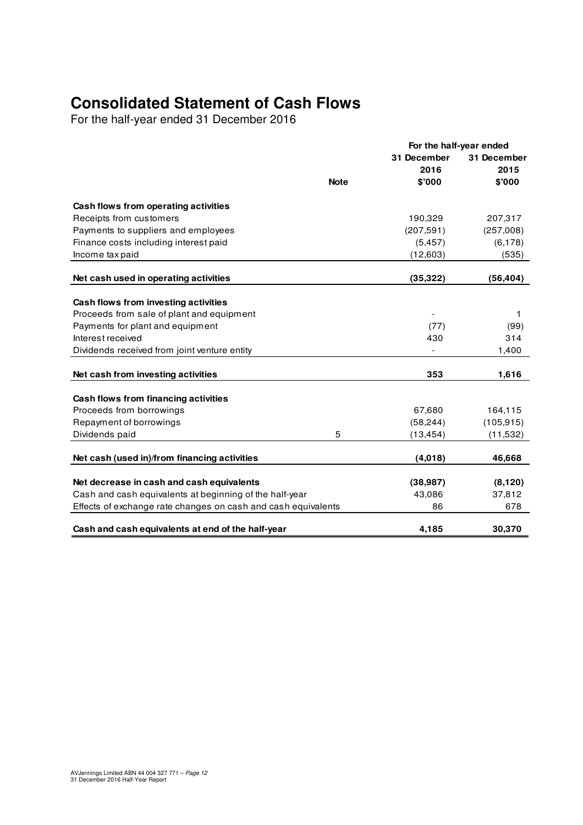## **Consolidated Statement of Cash Flows**

For the half-year ended 31 December 2016

|                                                               |             |             | For the half-year ended |
|---------------------------------------------------------------|-------------|-------------|-------------------------|
|                                                               |             | 31 December | 31 December             |
|                                                               |             | 2016        | 2015                    |
|                                                               | <b>Note</b> | \$'000      | \$'000                  |
| Cash flows from operating activities                          |             |             |                         |
| Receipts from customers                                       |             | 190,329     | 207,317                 |
| Payments to suppliers and employees                           |             | (207, 591)  | (257,008)               |
| Finance costs including interest paid                         |             | (5, 457)    | (6, 178)                |
| Income tax paid                                               |             | (12,603)    | (535)                   |
| Net cash used in operating activities                         |             | (35, 322)   | (56, 404)               |
|                                                               |             |             |                         |
| Cash flows from investing activities                          |             |             |                         |
| Proceeds from sale of plant and equipment                     |             |             | 1                       |
| Payments for plant and equipment                              |             | (77)        | (99)                    |
| Interest received                                             |             | 430         | 314                     |
| Dividends received from joint venture entity                  |             |             | 1,400                   |
| Net cash from investing activities                            |             | 353         | 1,616                   |
|                                                               |             |             |                         |
| Cash flows from financing activities                          |             |             |                         |
| Proceeds from borrowings                                      |             | 67,680      | 164,115                 |
| Repayment of borrowings                                       |             | (58, 244)   | (105, 915)              |
| Dividends paid                                                | 5           | (13, 454)   | (11, 532)               |
| Net cash (used in)/from financing activities                  |             | (4,018)     | 46,668                  |
|                                                               |             |             |                         |
| Net decrease in cash and cash equivalents                     |             | (38, 987)   | (8, 120)                |
| Cash and cash equivalents at beginning of the half-year       |             | 43,086      | 37,812                  |
| Effects of exchange rate changes on cash and cash equivalents |             | 86          | 678                     |
| Cash and cash equivalents at end of the half-year             |             | 4,185       | 30,370                  |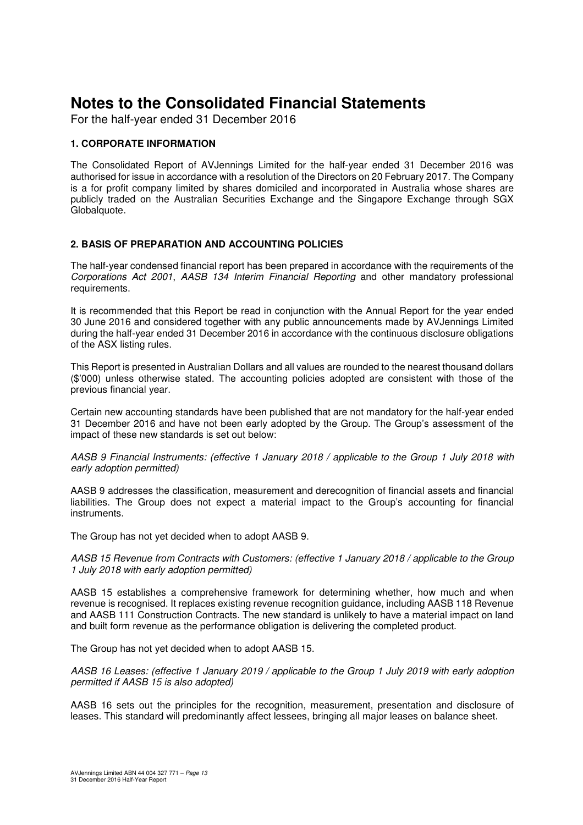For the half-year ended 31 December 2016

### **1. CORPORATE INFORMATION**

The Consolidated Report of AVJennings Limited for the half-year ended 31 December 2016 was authorised for issue in accordance with a resolution of the Directors on 20 February 2017. The Company is a for profit company limited by shares domiciled and incorporated in Australia whose shares are publicly traded on the Australian Securities Exchange and the Singapore Exchange through SGX Globalquote.

#### **2. BASIS OF PREPARATION AND ACCOUNTING POLICIES**

The half-year condensed financial report has been prepared in accordance with the requirements of the Corporations Act 2001, AASB 134 Interim Financial Reporting and other mandatory professional requirements.

It is recommended that this Report be read in conjunction with the Annual Report for the year ended 30 June 2016 and considered together with any public announcements made by AVJennings Limited during the half-year ended 31 December 2016 in accordance with the continuous disclosure obligations of the ASX listing rules.

This Report is presented in Australian Dollars and all values are rounded to the nearest thousand dollars (\$'000) unless otherwise stated. The accounting policies adopted are consistent with those of the previous financial year.

Certain new accounting standards have been published that are not mandatory for the half-year ended 31 December 2016 and have not been early adopted by the Group. The Group's assessment of the impact of these new standards is set out below:

AASB 9 Financial Instruments: (effective 1 January 2018 / applicable to the Group 1 July 2018 with early adoption permitted)

AASB 9 addresses the classification, measurement and derecognition of financial assets and financial liabilities. The Group does not expect a material impact to the Group's accounting for financial instruments.

The Group has not yet decided when to adopt AASB 9.

AASB 15 Revenue from Contracts with Customers: (effective 1 January 2018 / applicable to the Group 1 July 2018 with early adoption permitted)

AASB 15 establishes a comprehensive framework for determining whether, how much and when revenue is recognised. It replaces existing revenue recognition guidance, including AASB 118 Revenue and AASB 111 Construction Contracts. The new standard is unlikely to have a material impact on land and built form revenue as the performance obligation is delivering the completed product.

The Group has not yet decided when to adopt AASB 15.

AASB 16 Leases: (effective 1 January 2019 / applicable to the Group 1 July 2019 with early adoption permitted if AASB 15 is also adopted)

AASB 16 sets out the principles for the recognition, measurement, presentation and disclosure of leases. This standard will predominantly affect lessees, bringing all major leases on balance sheet.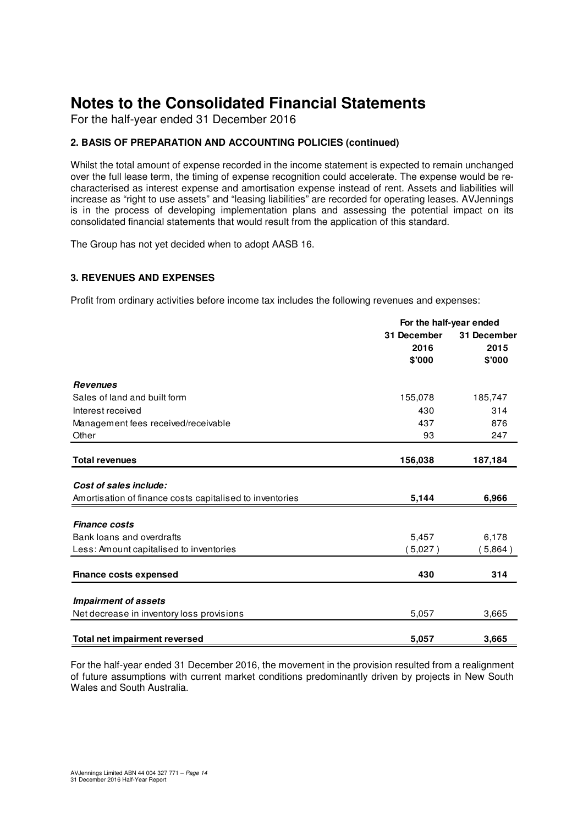For the half-year ended 31 December 2016

## **2. BASIS OF PREPARATION AND ACCOUNTING POLICIES (continued)**

Whilst the total amount of expense recorded in the income statement is expected to remain unchanged over the full lease term, the timing of expense recognition could accelerate. The expense would be recharacterised as interest expense and amortisation expense instead of rent. Assets and liabilities will increase as "right to use assets" and "leasing liabilities" are recorded for operating leases. AVJennings is in the process of developing implementation plans and assessing the potential impact on its consolidated financial statements that would result from the application of this standard.

The Group has not yet decided when to adopt AASB 16.

### **3. REVENUES AND EXPENSES**

Profit from ordinary activities before income tax includes the following revenues and expenses:

|                                                          | For the half-year ended |             |  |
|----------------------------------------------------------|-------------------------|-------------|--|
|                                                          | 31 December             | 31 December |  |
|                                                          | 2016                    | 2015        |  |
|                                                          | \$'000                  | \$'000      |  |
| <b>Revenues</b>                                          |                         |             |  |
| Sales of land and built form                             | 155,078                 | 185,747     |  |
| Interest received                                        | 430                     | 314         |  |
| Management fees received/receivable                      | 437                     | 876         |  |
| Other                                                    | 93                      | 247         |  |
| <b>Total revenues</b>                                    | 156,038                 | 187,184     |  |
|                                                          |                         |             |  |
| Cost of sales include:                                   |                         |             |  |
| Amortisation of finance costs capitalised to inventories | 5,144                   | 6,966       |  |
| <b>Finance costs</b>                                     |                         |             |  |
| Bank loans and overdrafts                                | 5,457                   | 6,178       |  |
| Less: Amount capitalised to inventories                  | (5,027)                 | (5,864)     |  |
|                                                          |                         |             |  |
| <b>Finance costs expensed</b>                            | 430                     | 314         |  |
| <b>Impairment of assets</b>                              |                         |             |  |
|                                                          |                         |             |  |
| Net decrease in inventory loss provisions                | 5,057                   | 3,665       |  |
| <b>Total net impairment reversed</b>                     | 5,057                   | 3,665       |  |

For the half-year ended 31 December 2016, the movement in the provision resulted from a realignment of future assumptions with current market conditions predominantly driven by projects in New South Wales and South Australia.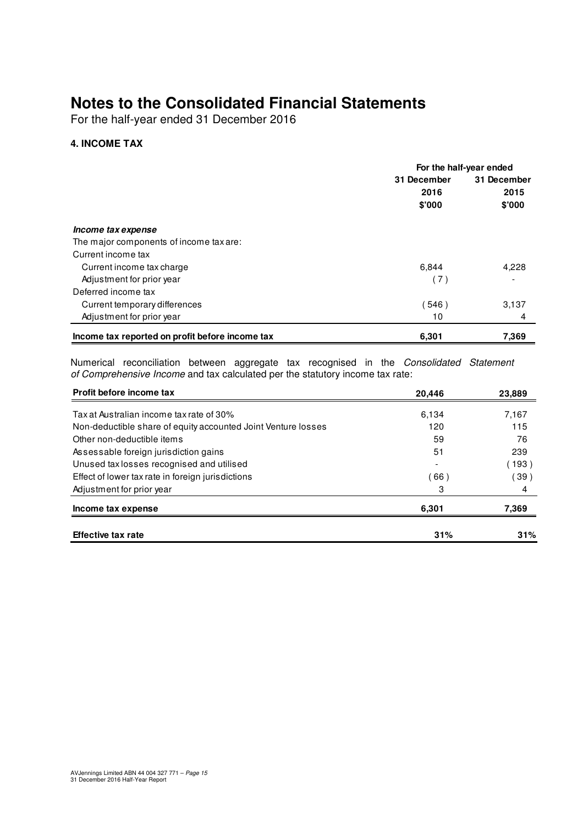For the half-year ended 31 December 2016

## **4. INCOME TAX**

|                                                 | For the half-year ended |             |  |
|-------------------------------------------------|-------------------------|-------------|--|
|                                                 | 31 December             | 31 December |  |
|                                                 | 2016                    | 2015        |  |
|                                                 | \$'000                  | \$'000      |  |
| Income tax expense                              |                         |             |  |
| The major components of income tax are:         |                         |             |  |
| Current income tax                              |                         |             |  |
| Current income tax charge                       | 6,844                   | 4,228       |  |
| Adjustment for prior year                       | (7)                     |             |  |
| Deferred income tax                             |                         |             |  |
| Current temporary differences                   | (546)                   | 3,137       |  |
| Adjustment for prior year                       | 10                      | 4           |  |
| Income tax reported on profit before income tax | 6,301                   | 7,369       |  |

Numerical reconciliation between aggregate tax recognised in the Consolidated Statement of Comprehensive Income and tax calculated per the statutory income tax rate:

| Profit before income tax                                      | 20,446 | 23,889 |
|---------------------------------------------------------------|--------|--------|
| Tax at Australian income tax rate of 30%                      | 6,134  | 7,167  |
| Non-deductible share of equity accounted Joint Venture losses | 120    | 115    |
| Other non-deductible items                                    | 59     | 76     |
| Assessable foreign jurisdiction gains                         | 51     | 239    |
| Unused tax losses recognised and utilised                     |        | (193)  |
| Effect of lower tax rate in foreign jurisdictions             | 66)    | (39)   |
| Adjustment for prior year                                     | 3      | 4      |
| Income tax expense                                            | 6,301  | 7,369  |
| <b>Effective tax rate</b>                                     | 31%    | 31%    |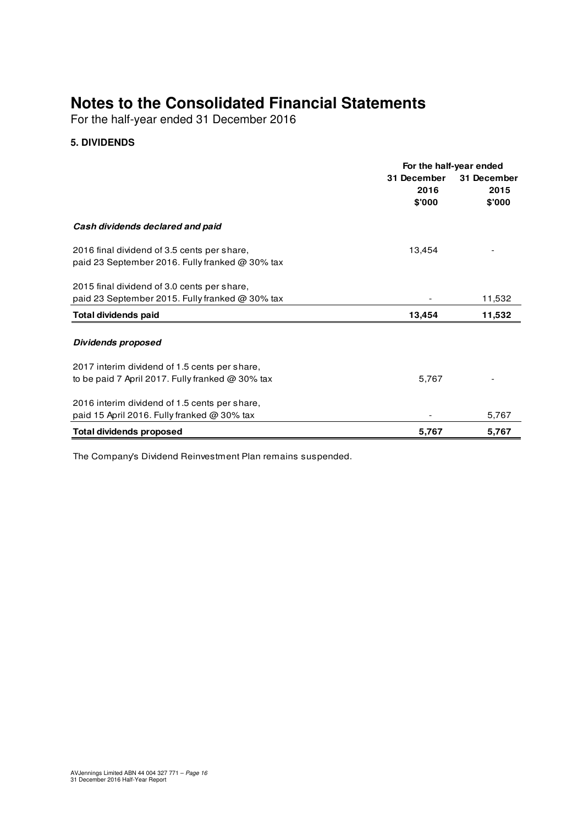For the half-year ended 31 December 2016

## **5. DIVIDENDS**

|                                                    | For the half-year ended |             |  |
|----------------------------------------------------|-------------------------|-------------|--|
|                                                    | 31 December             | 31 December |  |
|                                                    | 2016                    | 2015        |  |
|                                                    | \$'000                  | \$'000      |  |
| Cash dividends declared and paid                   |                         |             |  |
| 2016 final dividend of 3.5 cents per share,        | 13,454                  |             |  |
| paid 23 September 2016. Fully franked @ 30% tax    |                         |             |  |
| 2015 final dividend of 3.0 cents per share,        |                         |             |  |
| paid 23 September 2015. Fully franked @ 30% tax    |                         | 11,532      |  |
| <b>Total dividends paid</b>                        | 13,454                  | 11,532      |  |
|                                                    |                         |             |  |
| Dividends proposed                                 |                         |             |  |
| 2017 interim dividend of 1.5 cents per share,      |                         |             |  |
| to be paid 7 April 2017. Fully franked $@30\%$ tax | 5,767                   |             |  |
| 2016 interim dividend of 1.5 cents per share,      |                         |             |  |
| paid 15 April 2016. Fully franked $@30\%$ tax      |                         | 5,767       |  |
| <b>Total dividends proposed</b>                    | 5,767                   | 5,767       |  |

The Company's Dividend Reinvestment Plan remains suspended.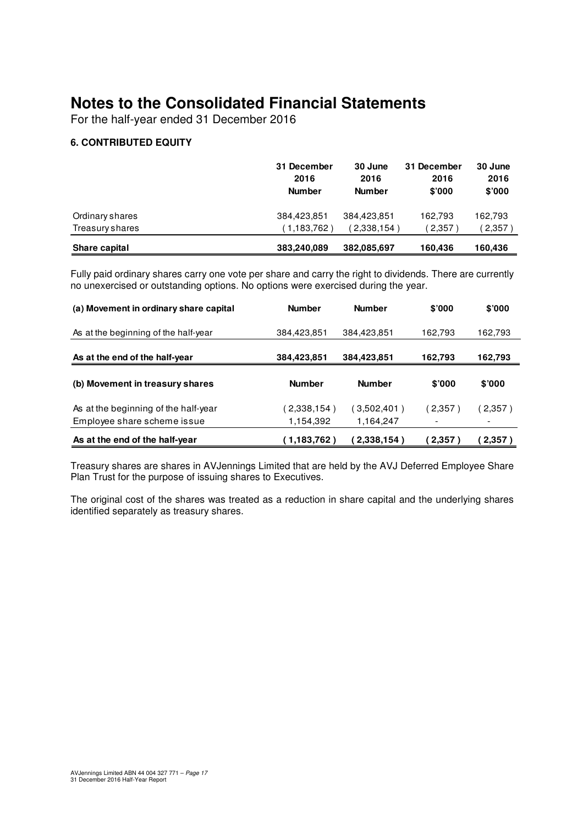For the half-year ended 31 December 2016

## **6. CONTRIBUTED EQUITY**

|                 | 31 December<br>2016<br><b>Number</b> | 30 June<br>2016<br><b>Number</b> | 31 December<br>2016<br>\$'000 | 30 June<br>2016<br>\$'000 |
|-----------------|--------------------------------------|----------------------------------|-------------------------------|---------------------------|
| Ordinary shares | 384,423,851                          | 384.423.851                      | 162.793                       | 162,793                   |
| Treasury shares | (1.183.762)                          | (2,338,154)                      | 2,357                         | (2,357)                   |
| Share capital   | 383,240,089                          | 382,085,697                      | 160,436                       | 160,436                   |

Fully paid ordinary shares carry one vote per share and carry the right to dividends. There are currently no unexercised or outstanding options. No options were exercised during the year.

| (a) Movement in ordinary share capital                              | <b>Number</b>           | <b>Number</b>            | \$'000  | \$'000  |
|---------------------------------------------------------------------|-------------------------|--------------------------|---------|---------|
| As at the beginning of the half-year                                | 384,423,851             | 384,423,851              | 162,793 | 162,793 |
| As at the end of the half-year                                      | 384,423,851             | 384,423,851              | 162.793 | 162,793 |
| (b) Movement in treasury shares                                     | <b>Number</b>           | <b>Number</b>            | \$'000  | \$'000  |
| As at the beginning of the half-year<br>Employee share scheme issue | 2,338,154)<br>1,154,392 | (3,502,401)<br>1,164,247 | (2,357) | 2,357)  |
| As at the end of the half-year                                      | (1,183,762)             | 2,338,154)               | 2,357)  | 2,357)  |

Treasury shares are shares in AVJennings Limited that are held by the AVJ Deferred Employee Share Plan Trust for the purpose of issuing shares to Executives.

The original cost of the shares was treated as a reduction in share capital and the underlying shares identified separately as treasury shares.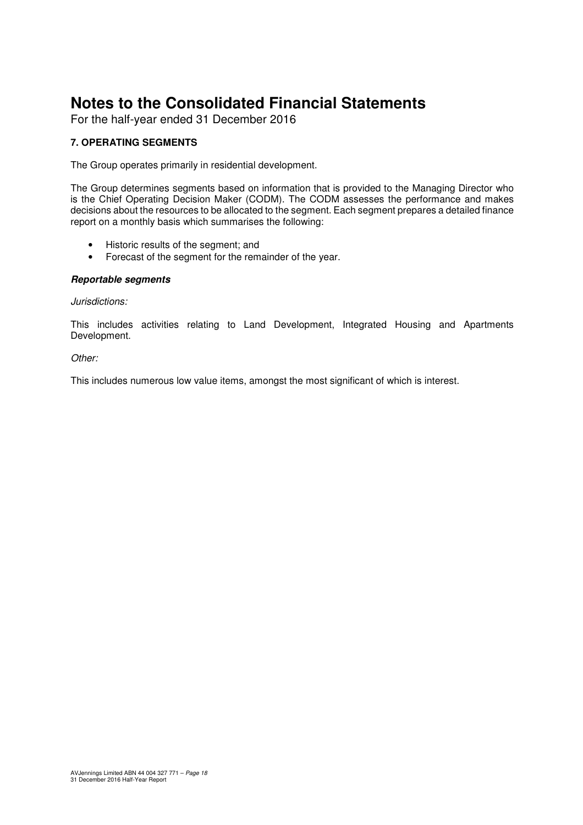For the half-year ended 31 December 2016

## **7. OPERATING SEGMENTS**

The Group operates primarily in residential development.

The Group determines segments based on information that is provided to the Managing Director who is the Chief Operating Decision Maker (CODM). The CODM assesses the performance and makes decisions about the resources to be allocated to the segment. Each segment prepares a detailed finance report on a monthly basis which summarises the following:

- Historic results of the segment; and
- Forecast of the segment for the remainder of the year.

#### **Reportable segments**

#### Jurisdictions:

This includes activities relating to Land Development, Integrated Housing and Apartments Development.

#### Other:

This includes numerous low value items, amongst the most significant of which is interest.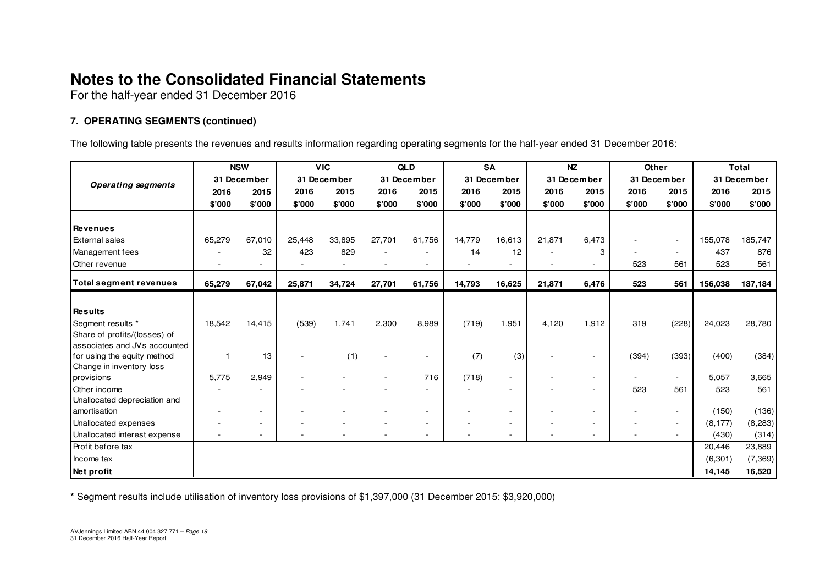For the half-year ended 31 December 2016

## **7. OPERATING SEGMENTS (continued)**

The following table presents the revenues and results information regarding operating segments for the half-year ended 31 December 2016:

|                                              |                | <b>NSW</b>               |             | <b>VIC</b> |             | <b>QLD</b> |             | <b>SA</b>                |             | <b>NZ</b> | Other       |                          |             | <b>Total</b> |
|----------------------------------------------|----------------|--------------------------|-------------|------------|-------------|------------|-------------|--------------------------|-------------|-----------|-------------|--------------------------|-------------|--------------|
| <b>Operating segments</b>                    | 31 December    |                          | 31 December |            | 31 December |            | 31 December |                          | 31 December |           | 31 December |                          | 31 December |              |
|                                              | 2016           | 2015                     | 2016        | 2015       | 2016        | 2015       | 2016        | 2015                     | 2016        | 2015      | 2016        | 2015                     | 2016        | 2015         |
|                                              | \$'000         | \$'000                   | \$'000      | \$'000     | \$'000      | \$'000     | \$'000      | \$'000                   | \$'000      | \$'000    | \$'000      | \$'000                   | \$'000      | \$'000       |
|                                              |                |                          |             |            |             |            |             |                          |             |           |             |                          |             |              |
| <b>I</b> Revenues                            |                |                          |             |            |             |            |             |                          |             |           |             |                          |             |              |
| <b>External sales</b>                        | 65,279         | 67,010                   | 25,448      | 33,895     | 27,701      | 61,756     | 14,779      | 16,613                   | 21,871      | 6,473     |             | $\sim$                   | 155,078     | 185,747      |
| Management fees                              |                | 32                       | 423         | 829        |             |            | 14          | 12                       |             | 3         |             | $\sim$                   | 437         | 876          |
| <b>Other revenue</b>                         |                |                          |             |            |             |            |             |                          |             |           | 523         | 561                      | 523         | 561          |
| <b>Total segment revenues</b>                | 65,279         | 67,042                   | 25,871      | 34,724     | 27,701      | 61,756     | 14,793      | 16,625                   | 21,871      | 6,476     | 523         | 561                      | 156,038     | 187,184      |
|                                              |                |                          |             |            |             |            |             |                          |             |           |             |                          |             |              |
| Results                                      |                |                          |             |            |             |            |             |                          |             |           |             |                          |             |              |
| Segment results *                            | 18,542         | 14,415                   | (539)       | 1,741      | 2,300       | 8,989      | (719)       | 1,951                    | 4,120       | 1,912     | 319         | (228)                    | 24,023      | 28,780       |
| Share of profits/(losses) of                 |                |                          |             |            |             |            |             |                          |             |           |             |                          |             |              |
| associates and JVs accounted                 |                |                          |             |            |             |            |             |                          |             |           |             |                          |             |              |
| for using the equity method                  | $\overline{1}$ | 13                       |             | (1)        |             |            | (7)         | (3)                      |             |           | (394)       | (393)                    | (400)       | (384)        |
| Change in inventory loss                     |                |                          |             |            |             |            |             |                          |             |           |             |                          |             |              |
| provisions                                   | 5,775          | 2,949                    |             |            |             | 716        | (718)       | $\overline{\phantom{a}}$ |             |           |             | $\sim$                   | 5,057       | 3,665        |
| Other income                                 |                |                          |             |            |             |            |             |                          |             |           | 523         | 561                      | 523         | 561          |
| Unallocated depreciation and<br>amortisation |                | $\overline{\phantom{a}}$ |             |            |             |            |             |                          |             |           |             | $\overline{\phantom{a}}$ | (150)       | (136)        |
| Unallocated expenses                         |                | $\sim$                   |             |            |             |            |             | $\overline{\phantom{a}}$ |             |           |             | $\sim$                   | (8, 177)    |              |
| Unallocated interest expense                 |                | $\overline{\phantom{a}}$ |             |            |             |            |             |                          |             |           |             |                          | (430)       | (8, 283)     |
|                                              |                |                          |             |            |             |            |             |                          |             |           |             | $\sim$                   |             | (314)        |
| <b>Profit before tax</b>                     |                |                          |             |            |             |            |             |                          |             |           |             |                          | 20,446      | 23,889       |
| Income tax                                   |                |                          |             |            |             |            |             |                          |             |           |             |                          | (6, 301)    | (7, 369)     |
| Net profit                                   |                |                          |             |            |             |            |             |                          |             |           |             |                          | 14,145      | 16,520       |

**\*** Segment results include utilisation of inventory loss provisions of \$1,397,000 (31 December 2015: \$3,920,000)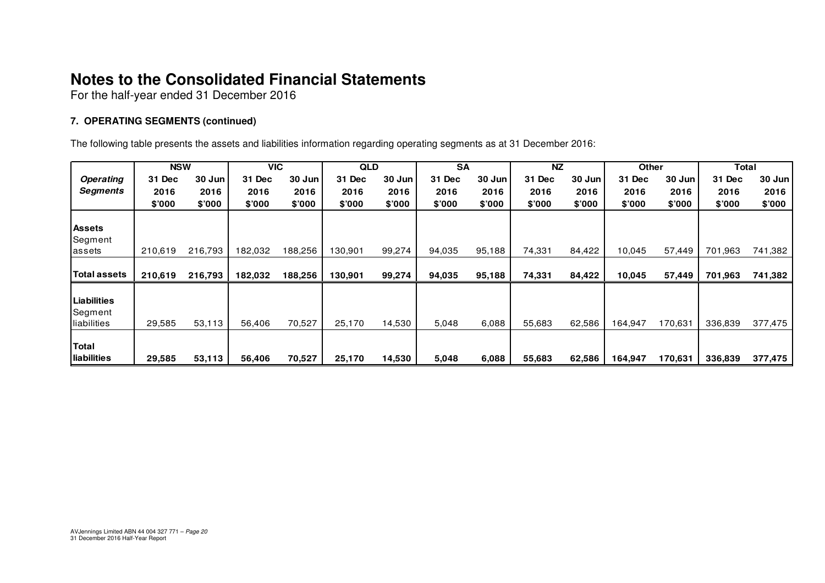For the half-year ended 31 December 2016

## **7. OPERATING SEGMENTS (continued)**

The following table presents the assets and liabilities information regarding operating segments as at 31 December 2016:

|                                       | <b>NSW</b> |         | <b>VIC</b> |         | <b>QLD</b> |        | <b>SA</b> |        | <b>NZ</b> |        | <b>Other</b> |         | Total   |         |
|---------------------------------------|------------|---------|------------|---------|------------|--------|-----------|--------|-----------|--------|--------------|---------|---------|---------|
| <b>Operating</b>                      | 31 Dec     | 30 Jun  | 31 Dec     | 30 Jun  | 31 Dec     | 30 Jun | 31 Dec    | 30 Jun | 31 Dec    | 30 Jun | 31 Dec       | 30 Jun  | 31 Dec  | 30 Jun  |
| <b>Segments</b>                       | 2016       | 2016    | 2016       | 2016    | 2016       | 2016   | 2016      | 2016   | 2016      | 2016   | 2016         | 2016    | 2016    | 2016    |
|                                       | \$'000     | \$'000  | \$'000     | \$'000  | \$'000     | \$'000 | \$'000    | \$'000 | \$'000    | \$7000 | \$'000       | \$'000  | \$000   | \$7000  |
| <b>Assets</b><br>Segment              |            |         |            |         |            |        |           |        |           |        |              |         |         |         |
| lassets                               | 210,619    | 216,793 | 182,032    | 188,256 | 130,901    | 99,274 | 94,035    | 95,188 | 74,331    | 84,422 | 10,045       | 57,449  | 701,963 | 741,382 |
| Total assets                          | 210,619    | 216,793 | 182,032    | 188,256 | 130,901    | 99,274 | 94,035    | 95,188 | 74,331    | 84,422 | 10,045       | 57,449  | 701,963 | 741,382 |
| Liabilities<br>Segment<br>liabilities | 29,585     | 53,113  | 56,406     | 70,527  | 25,170     | 14,530 | 5,048     | 6,088  | 55,683    | 62,586 | 164,947      | 170,631 | 336,839 | 377,475 |
| Total<br><b>Iliabilities</b>          | 29,585     | 53,113  | 56,406     | 70,527  | 25,170     | 14,530 | 5,048     | 6,088  | 55,683    | 62,586 | 164,947      | 170.631 | 336,839 | 377,475 |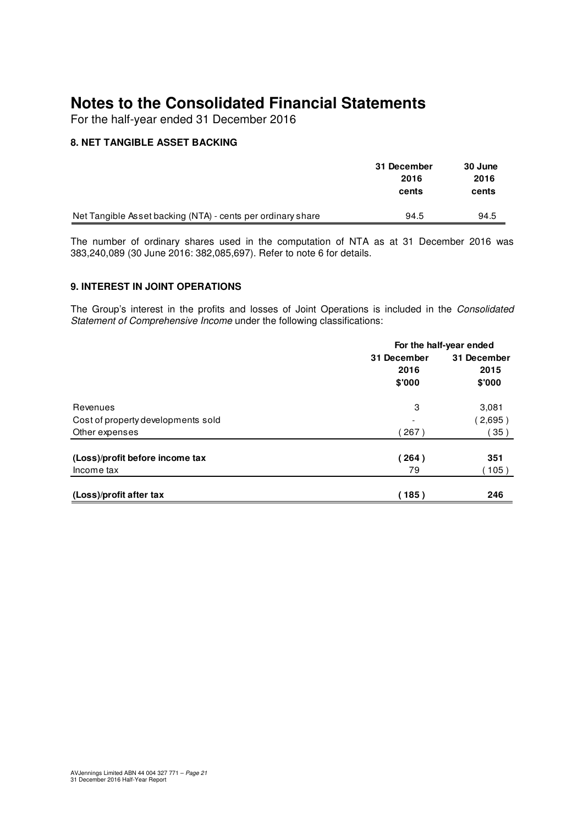For the half-year ended 31 December 2016

## **8. NET TANGIBLE ASSET BACKING**

|                                                             | 31 December | 30 June |
|-------------------------------------------------------------|-------------|---------|
|                                                             | 2016        | 2016    |
|                                                             | cents       | cents   |
|                                                             |             |         |
| Net Tangible Asset backing (NTA) - cents per ordinary share | 94.5        | 94.5    |

The number of ordinary shares used in the computation of NTA as at 31 December 2016 was 383,240,089 (30 June 2016: 382,085,697). Refer to note 6 for details.

### **9. INTEREST IN JOINT OPERATIONS**

The Group's interest in the profits and losses of Joint Operations is included in the Consolidated Statement of Comprehensive Income under the following classifications:

|                                    | For the half-year ended |             |  |  |
|------------------------------------|-------------------------|-------------|--|--|
|                                    | 31 December             | 31 December |  |  |
|                                    | 2016                    | 2015        |  |  |
|                                    | \$'000                  | \$'000      |  |  |
| Revenues                           | 3                       | 3,081       |  |  |
| Cost of property developments sold |                         | (2,695)     |  |  |
| Other expenses                     | 267)                    | 35)         |  |  |
| (Loss)/profit before income tax    | (264)                   | 351         |  |  |
| Income tax                         | 79                      | 105)        |  |  |
| (Loss)/profit after tax            | (185)                   | 246         |  |  |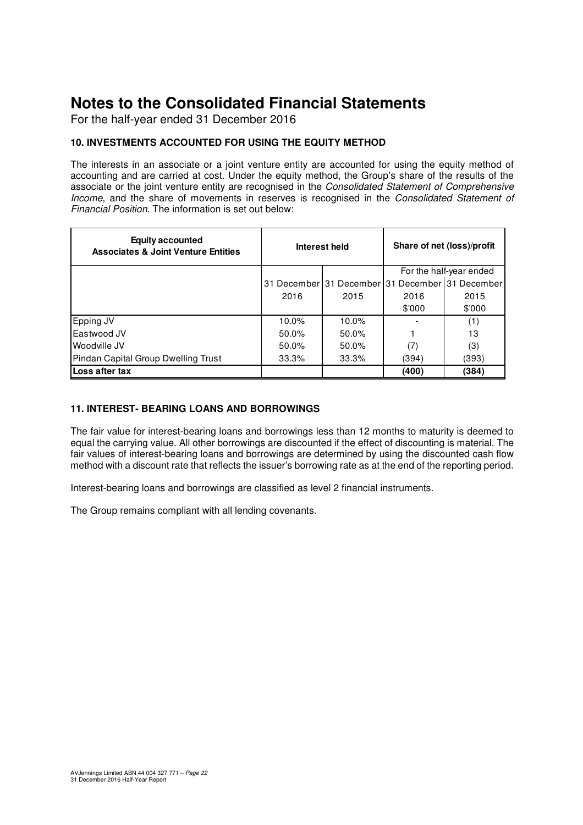For the half-year ended 31 December 2016

## **10. INVESTMENTS ACCOUNTED FOR USING THE EQUITY METHOD**

The interests in an associate or a joint venture entity are accounted for using the equity method of accounting and are carried at cost. Under the equity method, the Group's share of the results of the associate or the joint venture entity are recognised in the Consolidated Statement of Comprehensive Income, and the share of movements in reserves is recognised in the Consolidated Statement of Financial Position. The information is set out below:

| <b>Equity accounted</b><br><b>Associates &amp; Joint Venture Entities</b> |       | Interest held                                   | Share of net (loss)/profit |        |  |
|---------------------------------------------------------------------------|-------|-------------------------------------------------|----------------------------|--------|--|
|                                                                           |       |                                                 | For the half-year ended    |        |  |
|                                                                           |       | 31 December 31 December 31 December 31 December |                            |        |  |
|                                                                           | 2016  | 2015                                            | 2016                       | 2015   |  |
|                                                                           |       |                                                 | \$'000                     | \$'000 |  |
| Epping JV                                                                 | 10.0% | 10.0%                                           |                            | (1)    |  |
| Eastwood JV                                                               | 50.0% | $50.0\%$                                        |                            | 13     |  |
| Woodville JV                                                              | 50.0% | $50.0\%$                                        | (7)                        | (3)    |  |
| Pindan Capital Group Dwelling Trust                                       | 33.3% | 33.3%                                           | (394)                      | (393)  |  |
| Loss after tax                                                            |       |                                                 | (400)                      | (384)  |  |

### **11. INTEREST- BEARING LOANS AND BORROWINGS**

The fair value for interest-bearing loans and borrowings less than 12 months to maturity is deemed to equal the carrying value. All other borrowings are discounted if the effect of discounting is material. The fair values of interest-bearing loans and borrowings are determined by using the discounted cash flow method with a discount rate that reflects the issuer's borrowing rate as at the end of the reporting period.

Interest-bearing loans and borrowings are classified as level 2 financial instruments.

The Group remains compliant with all lending covenants.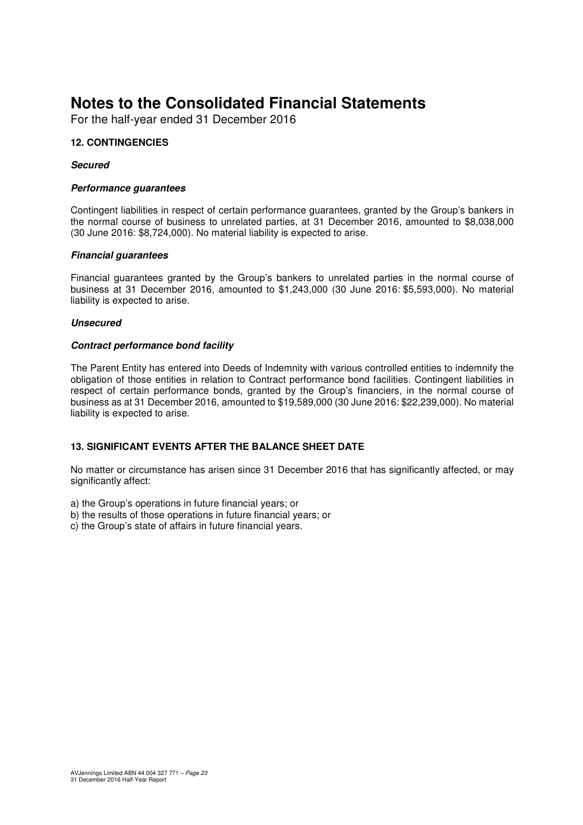For the half-year ended 31 December 2016

### **12. CONTINGENCIES**

#### **Secured**

#### **Performance guarantees**

Contingent liabilities in respect of certain performance guarantees, granted by the Group's bankers in the normal course of business to unrelated parties, at 31 December 2016, amounted to \$8,038,000 (30 June 2016: \$8,724,000). No material liability is expected to arise.

#### **Financial guarantees**

Financial guarantees granted by the Group's bankers to unrelated parties in the normal course of business at 31 December 2016, amounted to \$1,243,000 (30 June 2016: \$5,593,000). No material liability is expected to arise.

#### **Unsecured**

#### **Contract performance bond facility**

The Parent Entity has entered into Deeds of Indemnity with various controlled entities to indemnify the obligation of those entities in relation to Contract performance bond facilities. Contingent liabilities in respect of certain performance bonds, granted by the Group's financiers, in the normal course of business as at 31 December 2016, amounted to \$19,589,000 (30 June 2016: \$22,239,000). No material liability is expected to arise.

#### **13. SIGNIFICANT EVENTS AFTER THE BALANCE SHEET DATE**

No matter or circumstance has arisen since 31 December 2016 that has significantly affected, or may significantly affect:

a) the Group's operations in future financial years; or

- b) the results of those operations in future financial years; or
- c) the Group's state of affairs in future financial years.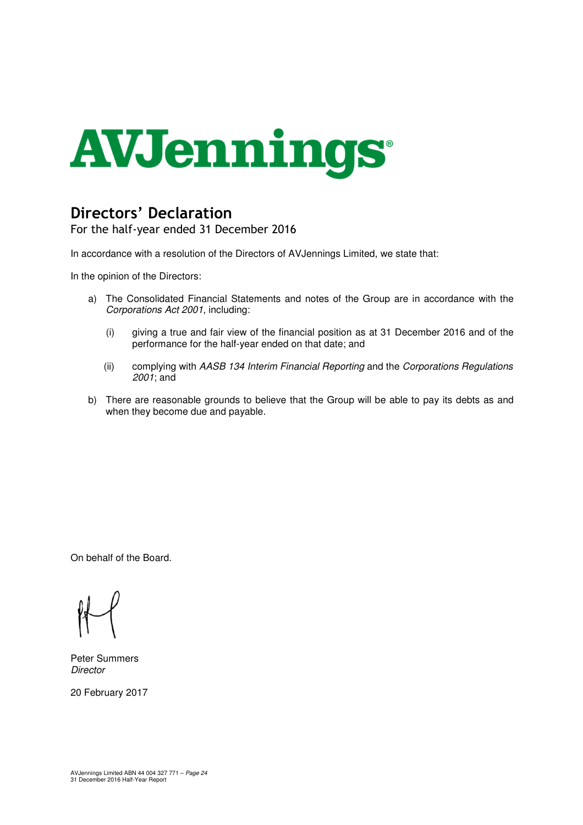

## **Directors' Declaration**

For the half-year ended 31 December 2016

In accordance with a resolution of the Directors of AVJennings Limited, we state that:

In the opinion of the Directors:

- a) The Consolidated Financial Statements and notes of the Group are in accordance with the Corporations Act 2001, including:
	- (i) giving a true and fair view of the financial position as at 31 December 2016 and of the performance for the half-year ended on that date; and
	- (ii) complying with AASB 134 Interim Financial Reporting and the Corporations Regulations 2001; and
- b) There are reasonable grounds to believe that the Group will be able to pay its debts as and when they become due and payable.

On behalf of the Board.

Peter Summers **Director** 

20 February 2017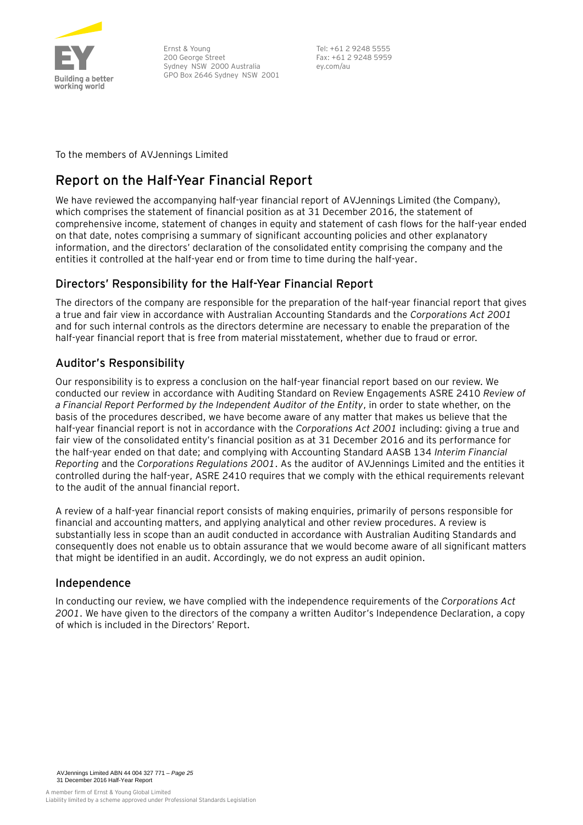

Ernst & Young 200 George Street Sydney NSW 2000 Australia GPO Box 2646 Sydney NSW 2001 Tel: +61 2 9248 5555 Fax: +61 2 9248 5959 ey.com/au

To the members of AVJennings Limited

## **Report on the Half-Year Financial Report**

We have reviewed the accompanying half-year financial report of AVJennings Limited (the Company), which comprises the statement of financial position as at 31 December 2016, the statement of comprehensive income, statement of changes in equity and statement of cash flows for the half-year ended on that date, notes comprising a summary of significant accounting policies and other explanatory information, and the directors' declaration of the consolidated entity comprising the company and the entities it controlled at the half-year end or from time to time during the half-year.

## Directors' Responsibility for the Half-Year Financial Report

The directors of the company are responsible for the preparation of the half-year financial report that gives a true and fair view in accordance with Australian Accounting Standards and the *Corporations Act 2001* and for such internal controls as the directors determine are necessary to enable the preparation of the half-year financial report that is free from material misstatement, whether due to fraud or error.

## Auditor's Responsibility

Our responsibility is to express a conclusion on the half-year financial report based on our review. We conducted our review in accordance with Auditing Standard on Review Engagements ASRE 2410 *Review of a Financial Report Performed by the Independent Auditor of the Entity*, in order to state whether, on the basis of the procedures described, we have become aware of any matter that makes us believe that the half-year financial report is not in accordance with the *Corporations Act 2001* including: giving a true and fair view of the consolidated entity's financial position as at 31 December 2016 and its performance for the half-year ended on that date; and complying with Accounting Standard AASB 134 *Interim Financial Reporting* and the *Corporations Regulations 2001*. As the auditor of AVJennings Limited and the entities it controlled during the half-year, ASRE 2410 requires that we comply with the ethical requirements relevant to the audit of the annual financial report.

A review of a half-year financial report consists of making enquiries, primarily of persons responsible for financial and accounting matters, and applying analytical and other review procedures. A review is substantially less in scope than an audit conducted in accordance with Australian Auditing Standards and consequently does not enable us to obtain assurance that we would become aware of all significant matters that might be identified in an audit. Accordingly, we do not express an audit opinion.

## Independence

In conducting our review, we have complied with the independence requirements of the *Corporations Act 2001*. We have given to the directors of the company a written Auditor's Independence Declaration, a copy of which is included in the Directors' Report.